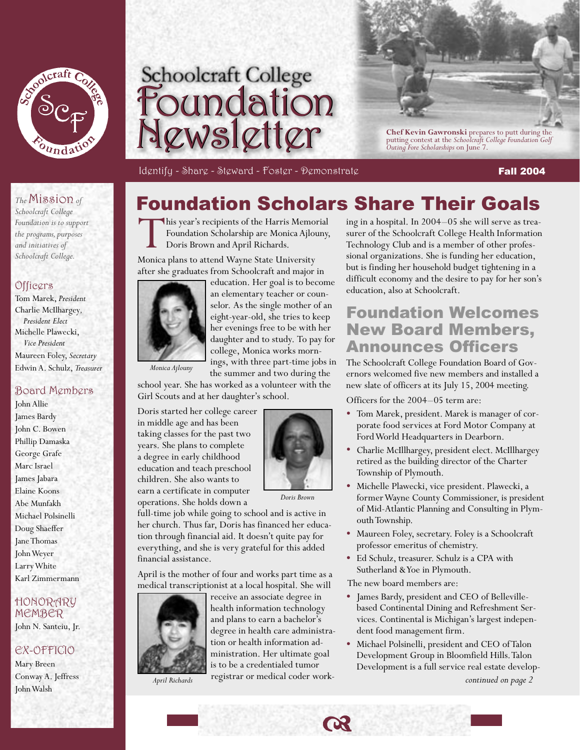





Identify - Share - Steward - Foster - Demonstrate Fall 2004 and Fall 2004

This year's recipients of the Harris Memorial Foundation Scholarship are Monica Ajlouny,

Doris Brown and April Richards. Monica plans to attend Wayne State University

### *The* Mission *of*

*Schoolcraft College Foundation is to support the programs, purposes and initiatives of Schoolcraft College.*

### Officers

Tom Marek, *President*  Charlie McIlhargey*, President Elect* Michelle Plawecki,  *Vice President* Maureen Foley, *Secretary* Edwin A. Schulz, *Treasurer* 

### Board Members

John Allie James Bardy John C. Bowen Phillip Damaska George Grafe Marc Israel James Jabara Elaine Koons Abe Munfakh Michael Polsinelli Doug Shaeffer Jane Thomas John Weyer Larry White Karl Zimmermann

### HONORARY MEMBER

John N. Santeiu, Jr.

### EX-OFFICIO

Mary Breen Conway A. Jeffress John Walsh



education. Her goal is to become an elementary teacher or coundaughter and to study. To pay for ings, with three part-time jobs in

Foundation Scholars Share Their Goals

*Monica Ajlouny*

selor. As the single mother of an eight-year-old, she tries to keep her evenings free to be with her college, Monica works mornthe summer and two during the

school year. She has worked as a volunteer with the Girl Scouts and at her daughter's school.

Doris started her college career in middle age and has been taking classes for the past two years. She plans to complete a degree in early childhood education and teach preschool children. She also wants to earn a certificate in computer operations. She holds down a



*Doris Brown*

full-time job while going to school and is active in her church. Thus far, Doris has financed her education through financial aid. It doesn't quite pay for everything, and she is very grateful for this added financial assistance.

April is the mother of four and works part time as a medical transcriptionist at a local hospital. She will



receive an associate degree in health information technology and plans to earn a bachelor's degree in health care administration or health information administration. Her ultimate goal is to be a credentialed tumor registrar or medical coder work-*April Richards continued on page 2*

ing in a hospital. In 2004–05 she will serve as treasurer of the Schoolcraft College Health Information Technology Club and is a member of other professional organizations. She is funding her education, but is finding her household budget tightening in a difficult economy and the desire to pay for her son's education, also at Schoolcraft.

### Foundation Welcomes New Board Members, Announces Officers

The Schoolcraft College Foundation Board of Governors welcomed five new members and installed a new slate of officers at its July 15, 2004 meeting.

Officers for the 2004–05 term are:

- Tom Marek, president. Marek is manager of corporate food services at Ford Motor Company at Ford World Headquarters in Dearborn.
- Charlie McIllhargey, president elect. McIllhargey retired as the building director of the Charter Township of Plymouth.
- Michelle Plawecki, vice president. Plawecki, a former Wayne County Commissioner, is president of Mid-Atlantic Planning and Consulting in Plymouth Township.
- Maureen Foley, secretary. Foley is a Schoolcraft professor emeritus of chemistry.
- Ed Schulz, treasurer. Schulz is a CPA with Sutherland & Yoe in Plymouth.

The new board members are:

- James Bardy, president and CEO of Bellevillebased Continental Dining and Refreshment Services. Continental is Michigan's largest independent food management firm.
- Michael Polsinelli, president and CEO of Talon Development Group in Bloomfield Hills. Talon Development is a full service real estate develop-



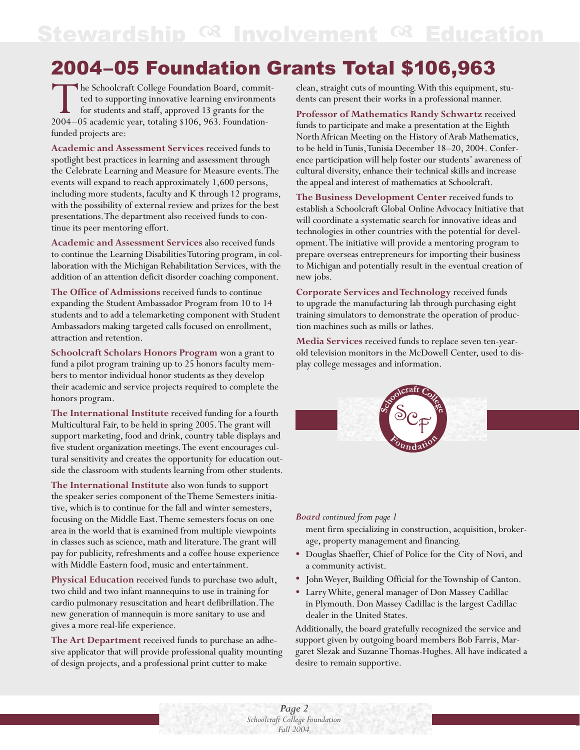## Stewardship <sup>or</sup> Involvement <sup>or</sup> Education

## 2004–05 Foundation Grants Total \$106,963

The Schoolcraft College Foundation Board, committed to supporting innovative learning environments<br>for students and staff, approved 13 grants for the<br>2004–05 academic year, totaling \$106, 963. Foundationted to supporting innovative learning environments for students and staff, approved 13 grants for the 2004–05 academic year, totaling \$106, 963. Foundationfunded projects are:

**Academic and Assessment Services** received funds to spotlight best practices in learning and assessment through the Celebrate Learning and Measure for Measure events. The events will expand to reach approximately 1,600 persons, including more students, faculty and K through 12 programs, with the possibility of external review and prizes for the best presentations. The department also received funds to continue its peer mentoring effort.

**Academic and Assessment Services** also received funds to continue the Learning Disabilities Tutoring program, in collaboration with the Michigan Rehabilitation Services, with the addition of an attention deficit disorder coaching component.

**The Office of Admissions** received funds to continue expanding the Student Ambassador Program from 10 to 14 students and to add a telemarketing component with Student Ambassadors making targeted calls focused on enrollment, attraction and retention.

**Schoolcraft Scholars Honors Program** won a grant to fund a pilot program training up to 25 honors faculty members to mentor individual honor students as they develop their academic and service projects required to complete the honors program.

**The International Institute** received funding for a fourth Multicultural Fair, to be held in spring 2005. The grant will support marketing, food and drink, country table displays and five student organization meetings. The event encourages cultural sensitivity and creates the opportunity for education outside the classroom with students learning from other students.

**The International Institute** also won funds to support the speaker series component of the Theme Semesters initiative, which is to continue for the fall and winter semesters, focusing on the Middle East. Theme semesters focus on one area in the world that is examined from multiple viewpoints in classes such as science, math and literature. The grant will pay for publicity, refreshments and a coffee house experience with Middle Eastern food, music and entertainment.

**Physical Education** received funds to purchase two adult, two child and two infant mannequins to use in training for cardio pulmonary resuscitation and heart defibrillation. The new generation of mannequin is more sanitary to use and gives a more real-life experience.

**The Art Department** received funds to purchase an adhesive applicator that will provide professional quality mounting of design projects, and a professional print cutter to make

clean, straight cuts of mounting. With this equipment, students can present their works in a professional manner.

**Professor of Mathematics Randy Schwartz** received funds to participate and make a presentation at the Eighth North African Meeting on the History of Arab Mathematics, to be held in Tunis, Tunisia December 18–20, 2004. Conference participation will help foster our students' awareness of cultural diversity, enhance their technical skills and increase the appeal and interest of mathematics at Schoolcraft.

**The Business Development Center** received funds to establish a Schoolcraft Global Online Advocacy Initiative that will coordinate a systematic search for innovative ideas and technologies in other countries with the potential for development. The initiative will provide a mentoring program to prepare overseas entrepreneurs for importing their business to Michigan and potentially result in the eventual creation of new jobs.

**Corporate Services and Technology** received funds to upgrade the manufacturing lab through purchasing eight training simulators to demonstrate the operation of production machines such as mills or lathes.

**Media Services** received funds to replace seven ten-yearold television monitors in the McDowell Center, used to display college messages and information.



#### *Board continued from page 1*

ment firm specializing in construction, acquisition, brokerage, property management and financing.

- Douglas Shaeffer, Chief of Police for the City of Novi, and a community activist.
- John Weyer, Building Official for the Township of Canton.
- Larry White, general manager of Don Massey Cadillac in Plymouth. Don Massey Cadillac is the largest Cadillac dealer in the United States.

Additionally, the board gratefully recognized the service and support given by outgoing board members Bob Farris, Margaret Slezak and Suzanne Thomas-Hughes. All have indicated a desire to remain supportive.

*Page 2 Schoolcraft College Foundation Fall 2004*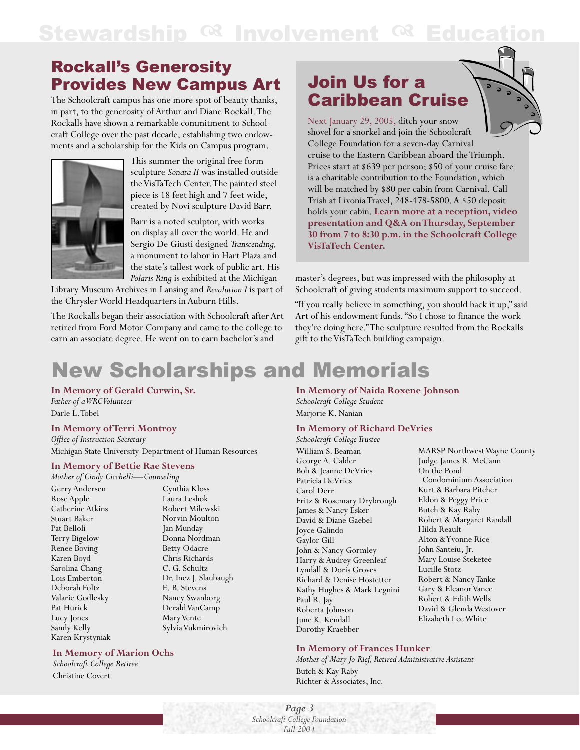## Stewardship <sup>@</sup> Involvement <sup>@</sup> Education

### Rockall's Generosity Provides New Campus Art

The Schoolcraft campus has one more spot of beauty thanks, in part, to the generosity of Arthur and Diane Rockall. The Rockalls have shown a remarkable commitment to Schoolcraft College over the past decade, establishing two endowments and a scholarship for the Kids on Campus program.



This summer the original free form sculpture *Sonata II* was installed outside the VisTaTech Center. The painted steel piece is 18 feet high and 7 feet wide, created by Novi sculpture David Barr.

Barr is a noted sculptor, with works on display all over the world. He and Sergio De Giusti designed *Transcending,* a monument to labor in Hart Plaza and the state's tallest work of public art. His *Polaris Ring* is exhibited at the Michigan

Library Museum Archives in Lansing and *Revolution I* is part of the Chrysler World Headquarters in Auburn Hills.

The Rockalls began their association with Schoolcraft after Art retired from Ford Motor Company and came to the college to earn an associate degree. He went on to earn bachelor's and

### Join Us for a Caribbean Cruise

Next January 29, 2005, ditch your snow shovel for a snorkel and join the Schoolcraft College Foundation for a seven-day Carnival cruise to the Eastern Caribbean aboard the Triumph. Prices start at \$639 per person; \$50 of your cruise fare is a charitable contribution to the Foundation, which will be matched by \$80 per cabin from Carnival. Call Trish at Livonia Travel, 248-478-5800. A \$50 deposit holds your cabin. **Learn more at a reception, video presentation and Q&A on Thursday, September 30 from 7 to 8:30 p.m. in the Schoolcraft College VisTaTech Center.**

master's degrees, but was impressed with the philosophy at Schoolcraft of giving students maximum support to succeed.

"If you really believe in something, you should back it up," said Art of his endowment funds. "So I chose to finance the work they're doing here." The sculpture resulted from the Rockalls gift to the VisTaTech building campaign.

# New Scholarships and Memorials

**In Memory of Gerald Curwin, Sr.** *Father of a WRC Volunteer* Darle L. Tobel

#### **In Memory of Terri Montroy**

*Office of Instruction Secretary* Michigan State University-Department of Human Resources

### **In Memory of Bettie Rae Stevens**

*Mother of Cindy Cicchelli—Counseling* Gerry Andersen Rose Apple Catherine Atkins Stuart Baker Pat Belloli Terry Bigelow Renee Boving Karen Boyd Sarolina Chang Lois Emberton Deborah Foltz Valarie Godlesky Pat Hurick Lucy Jones Sandy Kelly Karen Krystyniak

Cynthia Kloss Laura Leshok Robert Milewski Norvin Moulton Jan Munday Donna Nordman Betty Odacre Chris Richards C. G. Schultz Dr. Inez J. Slaubaugh E. B. Stevens Nancy Swanborg Derald VanCamp Mary Vente Sylvia Vukmirovich

### **In Memory of Marion Ochs**

*Schoolcraft College Retiree* Christine Covert

### **In Memory of Naida Roxene Johnson**

*Schoolcraft College Student*  Marjorie K. Nanian

#### **In Memory of Richard DeVries**

*Schoolcraft College Trustee*

William S. Beaman George A. Calder Bob & Jeanne DeVries Patricia DeVries Carol Derr Fritz & Rosemary Drybrough James & Nancy Esker David & Diane Gaebel Joyce Galindo Gaylor Gill John & Nancy Gormley Harry & Audrey Greenleaf Lyndall & Doris Groves Richard & Denise Hostetter Kathy Hughes & Mark Legnini Paul R. Jay Roberta Johnson June K. Kendall Dorothy Kraebber

MARSP Northwest Wayne County Judge James R. McCann On the Pond Condominium Association Kurt & Barbara Pitcher Eldon & Peggy Price Butch & Kay Raby Robert & Margaret Randall Hilda Reault Alton & Yvonne Rice John Santeiu, Jr. Mary Louise Steketee Lucille Stotz Robert & Nancy Tanke Gary & Eleanor Vance Robert & Edith Wells David & Glenda Westover Elizabeth Lee White

#### **In Memory of Frances Hunker**

*Mother of Mary Jo Rief, Retired Administrative Assistant* Butch & Kay Raby Richter & Associates, Inc.

*Page 3 Schoolcraft College Foundation Fall 2004*